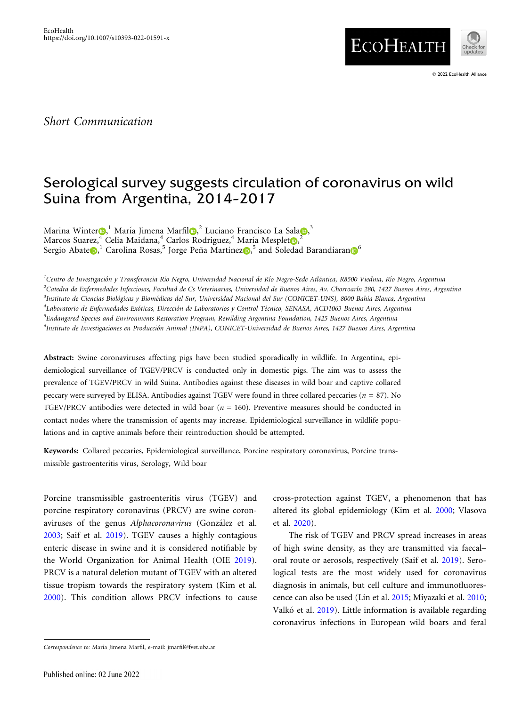

# Serological survey suggests circulation of coronavirus on wild Suina from Argentina, 2014–2017

Marina Winter $\textbf{O,}^{1}$  María Jimena Marfil $\textbf{O,}^{2}$  Luciano Francisco La Sala $\textbf{O,}^{3}$ Marcos Suarez, <sup>[4](http://orcid.org/0000-0003-4205-8000)</sup> Celia Maidana, 4 Carlos Rodriguez, <sup>4</sup> María Mesplet $\textbf{D},^2$  $\textbf{D},^2$ Sergio Abate $\textbf{D,}^1$  Carolina Rosas, 5 Jorge Peña Martine[z](http://orcid.org/0000-0001-9470-1315) $\textbf{D,}^5$  and Soledad Barandiaran $\textbf{D}^6$ 

<sup>1</sup>Centro de Investigación y Transferencia Río Negro, Universidad Nacional de Río Negro-Sede Atlántica, R8500 Viedma, Río Negro, Argentina ,<br><sup>2</sup>Catedra de Enfermedades Infecciosas, Facultad de Cs Veterinarias, Universidad de Buenos Aires, Av. Chorroarín 280, 1427 Buenos Aires, Argentina <sup>3</sup>Instituto de Ciencias Biológicas y Biomédicas del Sur, Universidad Nacional del Sur (CONICET-UNS), 8000 Bahía Blanca, Argentina <sup>4</sup>Laboratorio de Enfermedades Exóticas, Dirección de Laboratorios y Control Técnico, SENASA, ACD1063 Buenos Aires, Argentina 5 Endangered Species and Environments Restoration Program, Rewilding Argentina Foundation, 1425 Buenos Aires, Argentina <sup>6</sup>Instituto de Investigaciones en Producción Animal (INPA), CONICET-Universidad de Buenos Aires, 1427 Buenos Aires, Argentina

Abstract: Swine coronaviruses affecting pigs have been studied sporadically in wildlife. In Argentina, epidemiological surveillance of TGEV/PRCV is conducted only in domestic pigs. The aim was to assess the prevalence of TGEV/PRCV in wild Suina. Antibodies against these diseases in wild boar and captive collared peccary were surveyed by ELISA. Antibodies against TGEV were found in three collared peccaries ( $n = 87$ ). No TGEV/PRCV antibodies were detected in wild boar ( $n = 160$ ). Preventive measures should be conducted in contact nodes where the transmission of agents may increase. Epidemiological surveillance in wildlife populations and in captive animals before their reintroduction should be attempted.

Keywords: Collared peccaries, Epidemiological surveillance, Porcine respiratory coronavirus, Porcine transmissible gastroenteritis virus, Serology, Wild boar

Porcine transmissible gastroenteritis virus (TGEV) and porcine respiratory coronavirus (PRCV) are swine coronaviruses of the genus Alphacoronavirus (González et al. [2003](#page-3-0); Saif et al. [2019\)](#page-4-0). TGEV causes a highly contagious enteric disease in swine and it is considered notifiable by the World Organization for Animal Health (OIE [2019\)](#page-3-0). PRCV is a natural deletion mutant of TGEV with an altered tissue tropism towards the respiratory system (Kim et al. [2000](#page-3-0)). This condition allows PRCV infections to cause

cross-protection against TGEV, a phenomenon that has altered its global epidemiology (Kim et al. [2000](#page-3-0); Vlasova et al. [2020](#page-4-0)).

The risk of TGEV and PRCV spread increases in areas of high swine density, as they are transmitted via faecal– oral route or aerosols, respectively (Saif et al. [2019](#page-4-0)). Serological tests are the most widely used for coronavirus diagnosis in animals, but cell culture and immunofluorescence can also be used (Lin et al. [2015](#page-3-0); Miyazaki et al. [2010;](#page-3-0) Valkó et al. [2019\)](#page-4-0). Little information is available regarding coronavirus infections in European wild boars and feral

© 2022 EcoHealth Alliance

Correspondence to: María Jimena Marfil, e-mail: jmarfil@fvet.uba.ar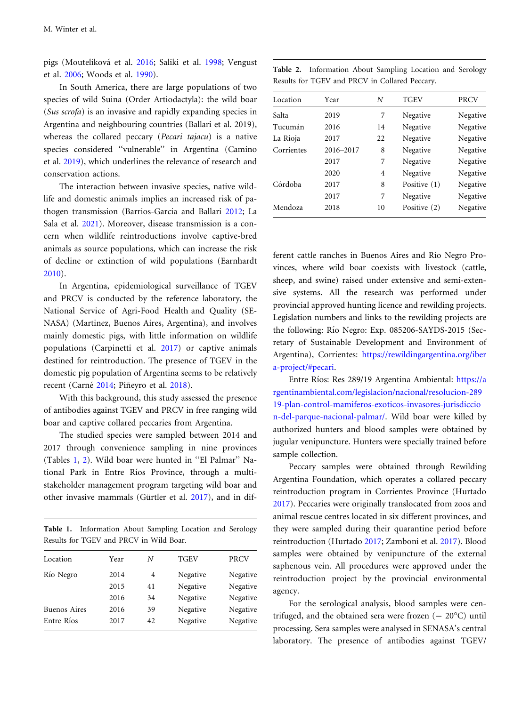pigs (Moutelíková et al. [2016](#page-3-0); Saliki et al. [1998;](#page-4-0) Vengust et al. [2006](#page-4-0); Woods et al. [1990](#page-4-0)).

In South America, there are large populations of two species of wild Suina (Order Artiodactyla): the wild boar (Sus scrofa) is an invasive and rapidly expanding species in Argentina and neighbouring countries (Ballari et al. 2019), whereas the collared peccary (Pecari tajacu) is a native species considered ''vulnerable'' in Argentina (Camino et al. [2019](#page-3-0)), which underlines the relevance of research and conservation actions.

The interaction between invasive species, native wildlife and domestic animals implies an increased risk of pathogen transmission (Barrios-Garcia and Ballari [2012;](#page-3-0) La Sala et al. [2021](#page-3-0)). Moreover, disease transmission is a concern when wildlife reintroductions involve captive-bred animals as source populations, which can increase the risk of decline or extinction of wild populations (Earnhardt [2010](#page-3-0)).

In Argentina, epidemiological surveillance of TGEV and PRCV is conducted by the reference laboratory, the National Service of Agri-Food Health and Quality (SE-NASA) (Martinez, Buenos Aires, Argentina), and involves mainly domestic pigs, with little information on wildlife populations (Carpinetti et al. [2017](#page-3-0)) or captive animals destined for reintroduction. The presence of TGEV in the domestic pig population of Argentina seems to be relatively recent (Carné [2014](#page-3-0); Piñeyro et al. [2018\)](#page-3-0).

With this background, this study assessed the presence of antibodies against TGEV and PRCV in free ranging wild boar and captive collared peccaries from Argentina.

The studied species were sampled between 2014 and 2017 through convenience sampling in nine provinces (Tables 1, 2). Wild boar were hunted in ''El Palmar'' National Park in Entre Ríos Province, through a multistakeholder management program targeting wild boar and other invasive mammals (Gürtler et al. [2017\)](#page-3-0), and in dif-

Table 1. Information About Sampling Location and Serology Results for TGEV and PRCV in Wild Boar.

| Location            | Year | N  | <b>TGEV</b> | <b>PRCV</b> |
|---------------------|------|----|-------------|-------------|
| Río Negro           | 2014 | 4  | Negative    | Negative    |
|                     | 2015 | 41 | Negative    | Negative    |
|                     | 2016 | 34 | Negative    | Negative    |
| <b>Buenos Aires</b> | 2016 | 39 | Negative    | Negative    |
| Entre Ríos          | 2017 | 42 | Negative    | Negative    |
|                     |      |    |             |             |

Table 2. Information About Sampling Location and Serology Results for TGEV and PRCV in Collared Peccary.

| Location   | Year      | N  | <b>TGEV</b>  | <b>PRCV</b> |
|------------|-----------|----|--------------|-------------|
| Salta      | 2019      | 7  | Negative     | Negative    |
| Tucumán    | 2016      | 14 | Negative     | Negative    |
| La Rioja   | 2017      | 22 | Negative     | Negative    |
| Corrientes | 2016-2017 | 8  | Negative     | Negative    |
|            | 2017      | 7  | Negative     | Negative    |
|            | 2020      | 4  | Negative     | Negative    |
| Córdoba    | 2017      | 8  | Positive (1) | Negative    |
|            | 2017      | 7  | Negative     | Negative    |
| Mendoza    | 2018      | 10 | Positive (2) | Negative    |

ferent cattle ranches in Buenos Aires and Río Negro Provinces, where wild boar coexists with livestock (cattle, sheep, and swine) raised under extensive and semi-extensive systems. All the research was performed under provincial approved hunting licence and rewilding projects. Legislation numbers and links to the rewilding projects are the following: Río Negro: Exp. 085206-SAYDS-2015 (Secretary of Sustainable Development and Environment of Argentina), Corrientes: [https://rewildingargentina.org/iber](https://rewildingargentina.org/ibera-project/#pecari) [a-project/#pecari](https://rewildingargentina.org/ibera-project/#pecari).

Entre Ríos: Res 289/19 Argentina Ambiental: [https://a](https://argentinambiental.com/legislacion/nacional/resolucion-28919-plan-control-mamiferos-exoticos-invasores-jurisdiccion-del-parque-nacional-palmar/) [rgentinambiental.com/legislacion/nacional/resolucion-289](https://argentinambiental.com/legislacion/nacional/resolucion-28919-plan-control-mamiferos-exoticos-invasores-jurisdiccion-del-parque-nacional-palmar/) [19-plan-control-mamiferos-exoticos-invasores-jurisdiccio](https://argentinambiental.com/legislacion/nacional/resolucion-28919-plan-control-mamiferos-exoticos-invasores-jurisdiccion-del-parque-nacional-palmar/) [n-del-parque-nacional-palmar/.](https://argentinambiental.com/legislacion/nacional/resolucion-28919-plan-control-mamiferos-exoticos-invasores-jurisdiccion-del-parque-nacional-palmar/) Wild boar were killed by authorized hunters and blood samples were obtained by jugular venipuncture. Hunters were specially trained before sample collection.

Peccary samples were obtained through Rewilding Argentina Foundation, which operates a collared peccary reintroduction program in Corrientes Province (Hurtado [2017](#page-3-0)). Peccaries were originally translocated from zoos and animal rescue centres located in six different provinces, and they were sampled during their quarantine period before reintroduction (Hurtado [2017;](#page-3-0) Zamboni et al. [2017](#page-4-0)). Blood samples were obtained by venipuncture of the external saphenous vein. All procedures were approved under the reintroduction project by the provincial environmental agency.

For the serological analysis, blood samples were centrifuged, and the obtained sera were frozen  $(-20^{\circ}C)$  until processing. Sera samples were analysed in SENASA's central laboratory. The presence of antibodies against TGEV/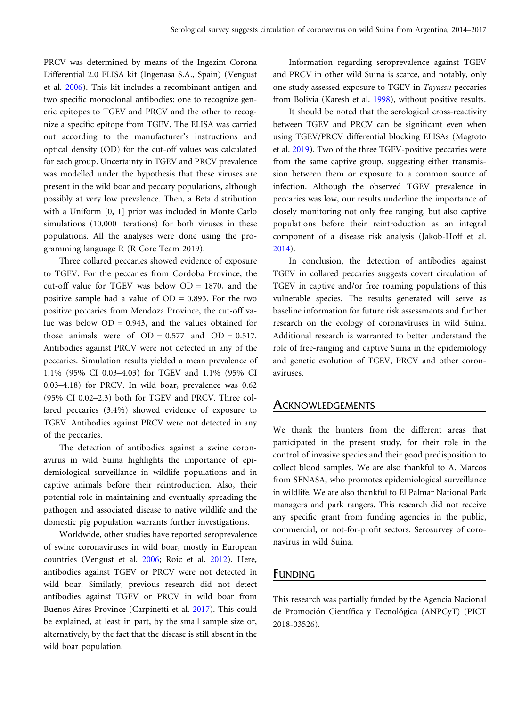PRCV was determined by means of the Ingezim Corona Differential 2.0 ELISA kit (Ingenasa S.A., Spain) (Vengust et al. [2006](#page-4-0)). This kit includes a recombinant antigen and two specific monoclonal antibodies: one to recognize generic epitopes to TGEV and PRCV and the other to recognize a specific epitope from TGEV. The ELISA was carried out according to the manufacturer's instructions and optical density (OD) for the cut-off values was calculated for each group. Uncertainty in TGEV and PRCV prevalence was modelled under the hypothesis that these viruses are present in the wild boar and peccary populations, although possibly at very low prevalence. Then, a Beta distribution with a Uniform [0, 1] prior was included in Monte Carlo simulations (10,000 iterations) for both viruses in these populations. All the analyses were done using the programming language R (R Core Team 2019).

Three collared peccaries showed evidence of exposure to TGEV. For the peccaries from Cordoba Province, the cut-off value for TGEV was below  $OD = 1870$ , and the positive sample had a value of  $OD = 0.893$ . For the two positive peccaries from Mendoza Province, the cut-off value was below  $OD = 0.943$ , and the values obtained for those animals were of  $OD = 0.577$  and  $OD = 0.517$ . Antibodies against PRCV were not detected in any of the peccaries. Simulation results yielded a mean prevalence of 1.1% (95% CI 0.03–4.03) for TGEV and 1.1% (95% CI 0.03–4.18) for PRCV. In wild boar, prevalence was 0.62 (95% CI 0.02–2.3) both for TGEV and PRCV. Three collared peccaries (3.4%) showed evidence of exposure to TGEV. Antibodies against PRCV were not detected in any of the peccaries.

The detection of antibodies against a swine coronavirus in wild Suina highlights the importance of epidemiological surveillance in wildlife populations and in captive animals before their reintroduction. Also, their potential role in maintaining and eventually spreading the pathogen and associated disease to native wildlife and the domestic pig population warrants further investigations.

Worldwide, other studies have reported seroprevalence of swine coronaviruses in wild boar, mostly in European countries (Vengust et al. [2006;](#page-4-0) Roic et al. [2012\)](#page-3-0). Here, antibodies against TGEV or PRCV were not detected in wild boar. Similarly, previous research did not detect antibodies against TGEV or PRCV in wild boar from Buenos Aires Province (Carpinetti et al. [2017](#page-3-0)). This could be explained, at least in part, by the small sample size or, alternatively, by the fact that the disease is still absent in the wild boar population.

Information regarding seroprevalence against TGEV and PRCV in other wild Suina is scarce, and notably, only one study assessed exposure to TGEV in Tayassu peccaries from Bolivia (Karesh et al. [1998](#page-3-0)), without positive results.

It should be noted that the serological cross-reactivity between TGEV and PRCV can be significant even when using TGEV/PRCV differential blocking ELISAs (Magtoto et al. [2019\)](#page-3-0). Two of the three TGEV-positive peccaries were from the same captive group, suggesting either transmission between them or exposure to a common source of infection. Although the observed TGEV prevalence in peccaries was low, our results underline the importance of closely monitoring not only free ranging, but also captive populations before their reintroduction as an integral component of a disease risk analysis (Jakob-Hoff et al. [2014](#page-3-0)).

In conclusion, the detection of antibodies against TGEV in collared peccaries suggests covert circulation of TGEV in captive and/or free roaming populations of this vulnerable species. The results generated will serve as baseline information for future risk assessments and further research on the ecology of coronaviruses in wild Suina. Additional research is warranted to better understand the role of free-ranging and captive Suina in the epidemiology and genetic evolution of TGEV, PRCV and other coronaviruses.

#### **ACKNOWLEDGEMENTS**

We thank the hunters from the different areas that participated in the present study, for their role in the control of invasive species and their good predisposition to collect blood samples. We are also thankful to A. Marcos from SENASA, who promotes epidemiological surveillance in wildlife. We are also thankful to El Palmar National Park managers and park rangers. This research did not receive any specific grant from funding agencies in the public, commercial, or not-for-profit sectors. Serosurvey of coronavirus in wild Suina.

### FUNDING

This research was partially funded by the Agencia Nacional de Promoción Científica y Tecnológica (ANPCyT) (PICT 2018-03526).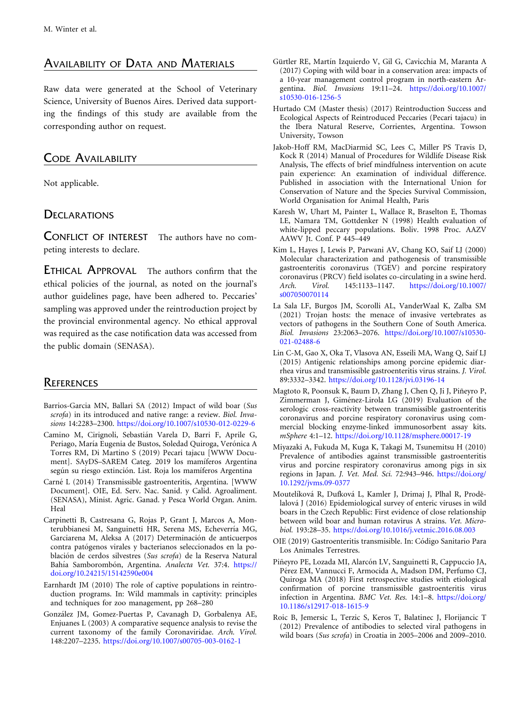# <span id="page-3-0"></span>AVAILABILITY OF DATA AND MATERIALS

Raw data were generated at the School of Veterinary Science, University of Buenos Aires. Derived data supporting the findings of this study are available from the corresponding author on request.

# CODE AVAILABILITY

Not applicable.

# **DECLARATIONS**

CONFLICT OF INTEREST The authors have no competing interests to declare.

ETHICAL APPROVAL The authors confirm that the ethical policies of the journal, as noted on the journal's author guidelines page, have been adhered to. Peccaries' sampling was approved under the reintroduction project by the provincial environmental agency. No ethical approval was required as the case notification data was accessed from the public domain (SENASA).

# **REFERENCES**

- Barrios-Garcia MN, Ballari SA (2012) Impact of wild boar (Sus scrofa) in its introduced and native range: a review. Biol. Invasions 14:2283–2300. <https://doi.org/10.1007/s10530-012-0229-6>
- Camino M, Cirignoli, Sebastián Varela D, Barri F, Aprile G, Periago, María Eugenia de Bustos, Soledad Quiroga, Verónica A Torres RM, Di Martino S (2019) Pecari tajacu [WWW Document]. SAyDS-SAREM Categ. 2019 los mamíferos Argentina según su riesgo extinción. List. Roja los mamíferos Argentina
- Carné L (2014) Transmissible gastroenteritis, Argentina. [WWW Document]. OIE, Ed. Serv. Nac. Sanid. y Calid. Agroaliment. (SENASA), Minist. Agric. Ganad. y Pesca World Organ. Anim. Heal
- Carpinetti B, Castresana G, Rojas P, Grant J, Marcos A, Monterubbianesi M, Sanguinetti HR, Serena MS, Echeverría MG, Garciarena M, Aleksa A (2017) Determinación de anticuerpos contra patógenos virales y bacterianos seleccionados en la población de cerdos silvestres (Sus scrofa) de la Reserva Natural Bahía Samborombón, Argentina. Analecta Vet. 37:4. [https://](https://doi.org/10.24215/15142590e004) [doi.org/10.24215/15142590e004](https://doi.org/10.24215/15142590e004)
- Earnhardt JM (2010) The role of captive populations in reintroduction programs. In: Wild mammals in captivity: principles and techniques for zoo management, pp 268–280
- González JM, Gomez-Puertas P, Cavanagh D, Gorbalenya AE, Enjuanes L (2003) A comparative sequence analysis to revise the current taxonomy of the family Coronaviridae. Arch. Virol. 148:2207–2235. <https://doi.org/10.1007/s00705-003-0162-1>
- Gürtler RE, Martín Izquierdo V, Gil G, Cavicchia M, Maranta A (2017) Coping with wild boar in a conservation area: impacts of a 10-year management control program in north-eastern Argentina. Biol. Invasions 19:11–24. [https://doi.org/10.1007/](https://doi.org/10.1007/s10530-016-1256-5) [s10530-016-1256-5](https://doi.org/10.1007/s10530-016-1256-5)
- Hurtado CM (Master thesis) (2017) Reintroduction Success and Ecological Aspects of Reintroduced Peccaries (Pecari tajacu) in the Ibera Natural Reserve, Corrientes, Argentina. Towson University, Towson
- Jakob-Hoff RM, MacDiarmid SC, Lees C, Miller PS Travis D, Kock R (2014) Manual of Procedures for Wildlife Disease Risk Analysis, The effects of brief mindfulness intervention on acute pain experience: An examination of individual difference. Published in association with the International Union for Conservation of Nature and the Species Survival Commission, World Organisation for Animal Health, Paris
- Karesh W, Uhart M, Painter L, Wallace R, Braselton E, Thomas LE, Namara TM, Gottdenker N (1998) Health evaluation of white-lipped peccary populations. Boliv. 1998 Proc. AAZV AAWV Jt. Conf. P 445–449
- Kim L, Hayes J, Lewis P, Parwani AV, Chang KO, Saif LJ (2000) Molecular characterization and pathogenesis of transmissible gastroenteritis coronavirus (TGEV) and porcine respiratory coronavirus (PRCV) field isolates co-circulating in a swine herd.<br>Arch. Virol. 145:1133-1147. https://doi.org/10.1007/ Arch. Virol. 145:1133–1147. [https://doi.org/10.1007/](https://doi.org/10.1007/s007050070114) [s007050070114](https://doi.org/10.1007/s007050070114)
- La Sala LF, Burgos JM, Scorolli AL, VanderWaal K, Zalba SM (2021) Trojan hosts: the menace of invasive vertebrates as vectors of pathogens in the Southern Cone of South America. Biol. Invasions 23:2063–2076. [https://doi.org/10.1007/s10530-](https://doi.org/10.1007/s10530-021-02488-6) [021-02488-6](https://doi.org/10.1007/s10530-021-02488-6)
- Lin C-M, Gao X, Oka T, Vlasova AN, Esseili MA, Wang Q, Saif LJ (2015) Antigenic relationships among porcine epidemic diarrhea virus and transmissible gastroenteritis virus strains. J. Virol. 89:3332–3342. <https://doi.org/10.1128/jvi.03196-14>
- Magtoto R, Poonsuk K, Baum D, Zhang J, Chen Q, Ji J, Piñeyro P, Zimmerman J, Giménez-Lirola LG (2019) Evaluation of the serologic cross-reactivity between transmissible gastroenteritis coronavirus and porcine respiratory coronavirus using commercial blocking enzyme-linked immunosorbent assay kits. mSphere 4:1–12. <https://doi.org/10.1128/msphere.00017-19>
- Miyazaki A, Fukuda M, Kuga K, Takagi M, Tsunemitsu H (2010) Prevalence of antibodies against transmissible gastroenteritis virus and porcine respiratory coronavirus among pigs in six regions in Japan. J. Vet. Med. Sci. 72:943–946. [https://doi.org/](https://doi.org/10.1292/jvms.09-0377) [10.1292/jvms.09-0377](https://doi.org/10.1292/jvms.09-0377)
- Moutelíková R, Dufková L, Kamler J, Drimaj J, Plhal R, Prodělalová J (2016) Epidemiological survey of enteric viruses in wild boars in the Czech Republic: First evidence of close relationship between wild boar and human rotavirus A strains. Vet. Microbiol. 193:28–35. <https://doi.org/10.1016/j.vetmic.2016.08.003>
- OIE (2019) Gastroenteritis transmisible. In: Código Sanitario Para Los Animales Terrestres.
- Piñeyro PE, Lozada MI, Alarcón LV, Sanguinetti R, Cappuccio JA, Pérez EM, Vannucci F, Armocida A, Madson DM, Perfumo CJ, Quiroga MA (2018) First retrospective studies with etiological confirmation of porcine transmissible gastroenteritis virus infection in Argentina. BMC Vet. Res. 14:1–8. [https://doi.org/](https://doi.org/10.1186/s12917-018-1615-9) [10.1186/s12917-018-1615-9](https://doi.org/10.1186/s12917-018-1615-9)
- Roic B, Jemersic L, Terzic S, Keros T, Balatinec J, Florijancic T (2012) Prevalence of antibodies to selected viral pathogens in wild boars (Sus scrofa) in Croatia in 2005–2006 and 2009–2010.